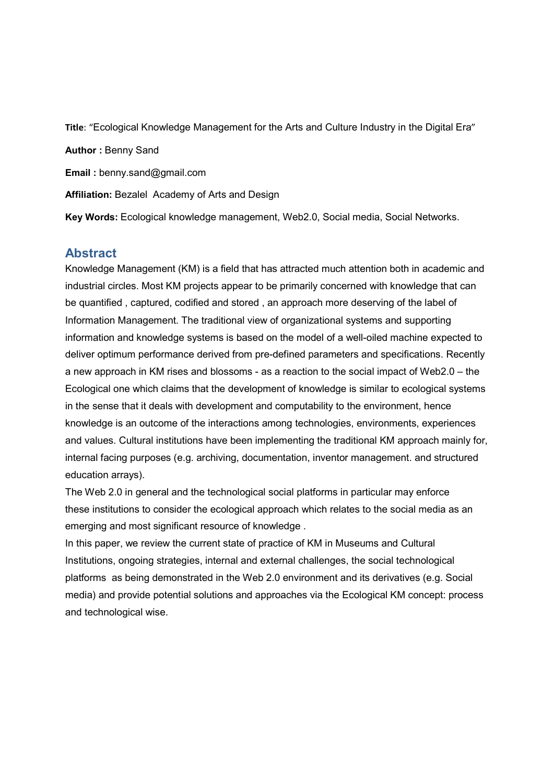**Title**: "Ecological Knowledge Management for the Arts and Culture Industry in the Digital Era" **Author :** Benny Sand **Email :** benny.sand@gmail.com **Affiliation:** Bezalel Academy of Arts and Design **Key Words:** Ecological knowledge management, Web2.0, Social media, Social Networks.

### **Abstract**

Knowledge Management (KM) is a field that has attracted much attention both in academic and industrial circles. Most KM projects appear to be primarily concerned with knowledge that can be quantified , captured, codified and stored , an approach more deserving of the label of Information Management. The traditional view of organizational systems and supporting information and knowledge systems is based on the model of a well-oiled machine expected to deliver optimum performance derived from pre-defined parameters and specifications. Recently a new approach in KM rises and blossoms - as a reaction to the social impact of Web2.0 – the Ecological one which claims that the development of knowledge is similar to ecological systems in the sense that it deals with development and computability to the environment, hence knowledge is an outcome of the interactions among technologies, environments, experiences and values. Cultural institutions have been implementing the traditional KM approach mainly for, internal facing purposes (e.g. archiving, documentation, inventor management. and structured education arrays).

The Web 2.0 in general and the technological social platforms in particular may enforce these institutions to consider the ecological approach which relates to the social media as an emerging and most significant resource of knowledge .

In this paper, we review the current state of practice of KM in Museums and Cultural Institutions, ongoing strategies, internal and external challenges, the social technological platforms as being demonstrated in the Web 2.0 environment and its derivatives (e.g. Social media) and provide potential solutions and approaches via the Ecological KM concept: process and technological wise.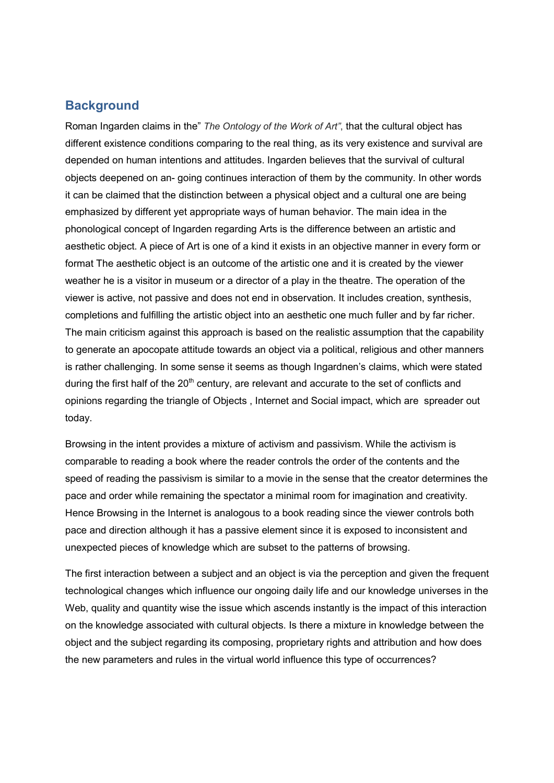#### **Background**

Roman Ingarden claims in the" *The Ontology of the Work of Art"*, that the cultural object has different existence conditions comparing to the real thing, as its very existence and survival are depended on human intentions and attitudes. Ingarden believes that the survival of cultural objects deepened on an- going continues interaction of them by the community. In other words it can be claimed that the distinction between a physical object and a cultural one are being emphasized by different yet appropriate ways of human behavior. The main idea in the phonological concept of Ingarden regarding Arts is the difference between an artistic and aesthetic object. A piece of Art is one of a kind it exists in an objective manner in every form or format The aesthetic object is an outcome of the artistic one and it is created by the viewer weather he is a visitor in museum or a director of a play in the theatre. The operation of the viewer is active, not passive and does not end in observation. It includes creation, synthesis, completions and fulfilling the artistic object into an aesthetic one much fuller and by far richer. The main criticism against this approach is based on the realistic assumption that the capability to generate an apocopate attitude towards an object via a political, religious and other manners is rather challenging. In some sense it seems as though Ingardnen's claims, which were stated during the first half of the  $20<sup>th</sup>$  century, are relevant and accurate to the set of conflicts and opinions regarding the triangle of Objects , Internet and Social impact, which are spreader out today.

Browsing in the intent provides a mixture of activism and passivism. While the activism is comparable to reading a book where the reader controls the order of the contents and the speed of reading the passivism is similar to a movie in the sense that the creator determines the pace and order while remaining the spectator a minimal room for imagination and creativity. Hence Browsing in the Internet is analogous to a book reading since the viewer controls both pace and direction although it has a passive element since it is exposed to inconsistent and unexpected pieces of knowledge which are subset to the patterns of browsing.

The first interaction between a subject and an object is via the perception and given the frequent technological changes which influence our ongoing daily life and our knowledge universes in the Web, quality and quantity wise the issue which ascends instantly is the impact of this interaction on the knowledge associated with cultural objects. Is there a mixture in knowledge between the object and the subject regarding its composing, proprietary rights and attribution and how does the new parameters and rules in the virtual world influence this type of occurrences?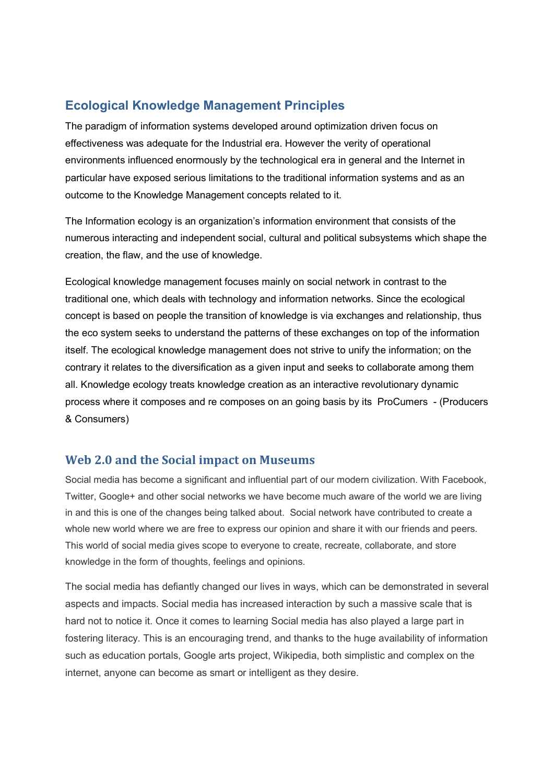## **Ecological Knowledge Management Principles**

The paradigm of information systems developed around optimization driven focus on effectiveness was adequate for the Industrial era. However the verity of operational environments influenced enormously by the technological era in general and the Internet in particular have exposed serious limitations to the traditional information systems and as an outcome to the Knowledge Management concepts related to it.

The Information ecology is an organization's information environment that consists of the numerous interacting and independent social, cultural and political subsystems which shape the creation, the flaw, and the use of knowledge.

Ecological knowledge management focuses mainly on social network in contrast to the traditional one, which deals with technology and information networks. Since the ecological concept is based on people the transition of knowledge is via exchanges and relationship, thus the eco system seeks to understand the patterns of these exchanges on top of the information itself. The ecological knowledge management does not strive to unify the information; on the contrary it relates to the diversification as a given input and seeks to collaborate among them all. Knowledge ecology treats knowledge creation as an interactive revolutionary dynamic process where it composes and re composes on an going basis by its ProCumers - (Producers & Consumers)

#### **Web 2.0 and the Social impact on Museums**

Social media has become a significant and influential part of our modern civilization. With Facebook, Twitter, Google+ and other social networks we have become much aware of the world we are living in and this is one of the changes being talked about. Social network have contributed to create a whole new world where we are free to express our opinion and share it with our friends and peers. This world of social media gives scope to everyone to create, recreate, collaborate, and store knowledge in the form of thoughts, feelings and opinions.

The social media has defiantly changed our lives in ways, which can be demonstrated in several aspects and impacts. Social media has increased interaction by such a massive scale that is hard not to notice it. Once it comes to learning Social media has also played a large part in fostering literacy. This is an encouraging trend, and thanks to the huge availability of information such as education portals, Google arts project, Wikipedia, both simplistic and complex on the internet, anyone can become as smart or intelligent as they desire.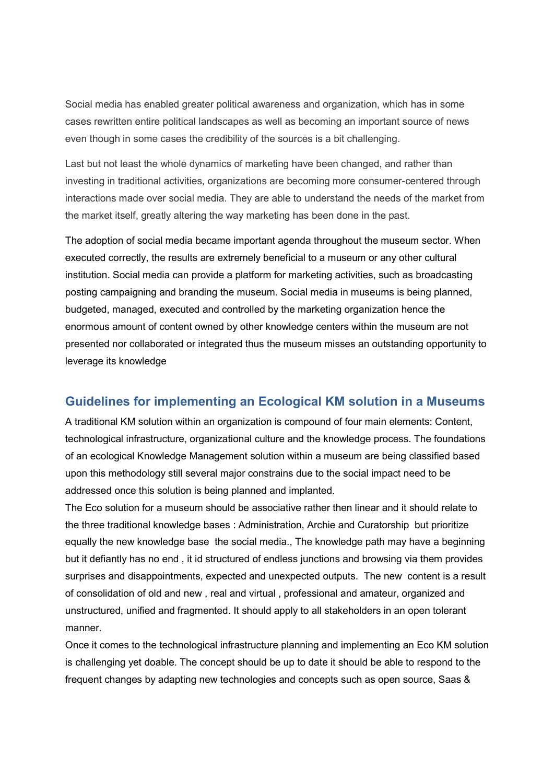Social media has enabled greater political awareness and organization, which has in some cases rewritten entire political landscapes as well as becoming an important source of news even though in some cases the credibility of the sources is a bit challenging.

Last but not least the whole dynamics of marketing have been changed, and rather than investing in traditional activities, organizations are becoming more consumer-centered through interactions made over social media. They are able to understand the needs of the market from the market itself, greatly altering the way marketing has been done in the past.

The adoption of social media became important agenda throughout the museum sector. When executed correctly, the results are extremely beneficial to a museum or any other cultural institution. Social media can provide a platform for marketing activities, such as broadcasting posting campaigning and branding the museum. Social media in museums is being planned, budgeted, managed, executed and controlled by the marketing organization hence the enormous amount of content owned by other knowledge centers within the museum are not presented nor collaborated or integrated thus the museum misses an outstanding opportunity to leverage its knowledge

## **Guidelines for implementing an Ecological KM solution in a Museums**

A traditional KM solution within an organization is compound of four main elements: Content, technological infrastructure, organizational culture and the knowledge process. The foundations of an ecological Knowledge Management solution within a museum are being classified based upon this methodology still several major constrains due to the social impact need to be addressed once this solution is being planned and implanted.

The Eco solution for a museum should be associative rather then linear and it should relate to the three traditional knowledge bases : Administration, Archie and Curatorship but prioritize equally the new knowledge base the social media., The knowledge path may have a beginning but it defiantly has no end , it id structured of endless junctions and browsing via them provides surprises and disappointments, expected and unexpected outputs. The new content is a result of consolidation of old and new , real and virtual , professional and amateur, organized and unstructured, unified and fragmented. It should apply to all stakeholders in an open tolerant manner.

Once it comes to the technological infrastructure planning and implementing an Eco KM solution is challenging yet doable. The concept should be up to date it should be able to respond to the frequent changes by adapting new technologies and concepts such as open source, Saas &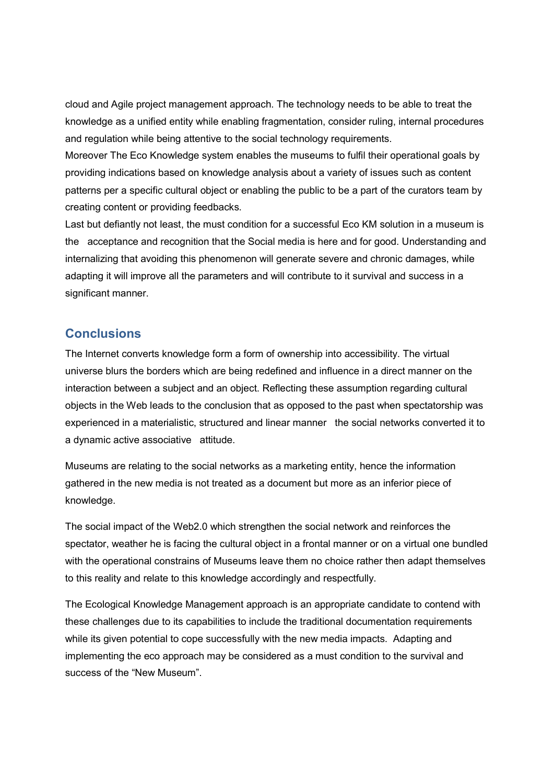cloud and Agile project management approach. The technology needs to be able to treat the knowledge as a unified entity while enabling fragmentation, consider ruling, internal procedures and regulation while being attentive to the social technology requirements.

Moreover The Eco Knowledge system enables the museums to fulfil their operational goals by providing indications based on knowledge analysis about a variety of issues such as content patterns per a specific cultural object or enabling the public to be a part of the curators team by creating content or providing feedbacks.

Last but defiantly not least, the must condition for a successful Eco KM solution in a museum is the acceptance and recognition that the Social media is here and for good. Understanding and internalizing that avoiding this phenomenon will generate severe and chronic damages, while adapting it will improve all the parameters and will contribute to it survival and success in a significant manner.

#### **Conclusions**

The Internet converts knowledge form a form of ownership into accessibility. The virtual universe blurs the borders which are being redefined and influence in a direct manner on the interaction between a subject and an object. Reflecting these assumption regarding cultural objects in the Web leads to the conclusion that as opposed to the past when spectatorship was experienced in a materialistic, structured and linear manner the social networks converted it to a dynamic active associative attitude.

Museums are relating to the social networks as a marketing entity, hence the information gathered in the new media is not treated as a document but more as an inferior piece of knowledge.

The social impact of the Web2.0 which strengthen the social network and reinforces the spectator, weather he is facing the cultural object in a frontal manner or on a virtual one bundled with the operational constrains of Museums leave them no choice rather then adapt themselves to this reality and relate to this knowledge accordingly and respectfully.

The Ecological Knowledge Management approach is an appropriate candidate to contend with these challenges due to its capabilities to include the traditional documentation requirements while its given potential to cope successfully with the new media impacts. Adapting and implementing the eco approach may be considered as a must condition to the survival and success of the "New Museum".